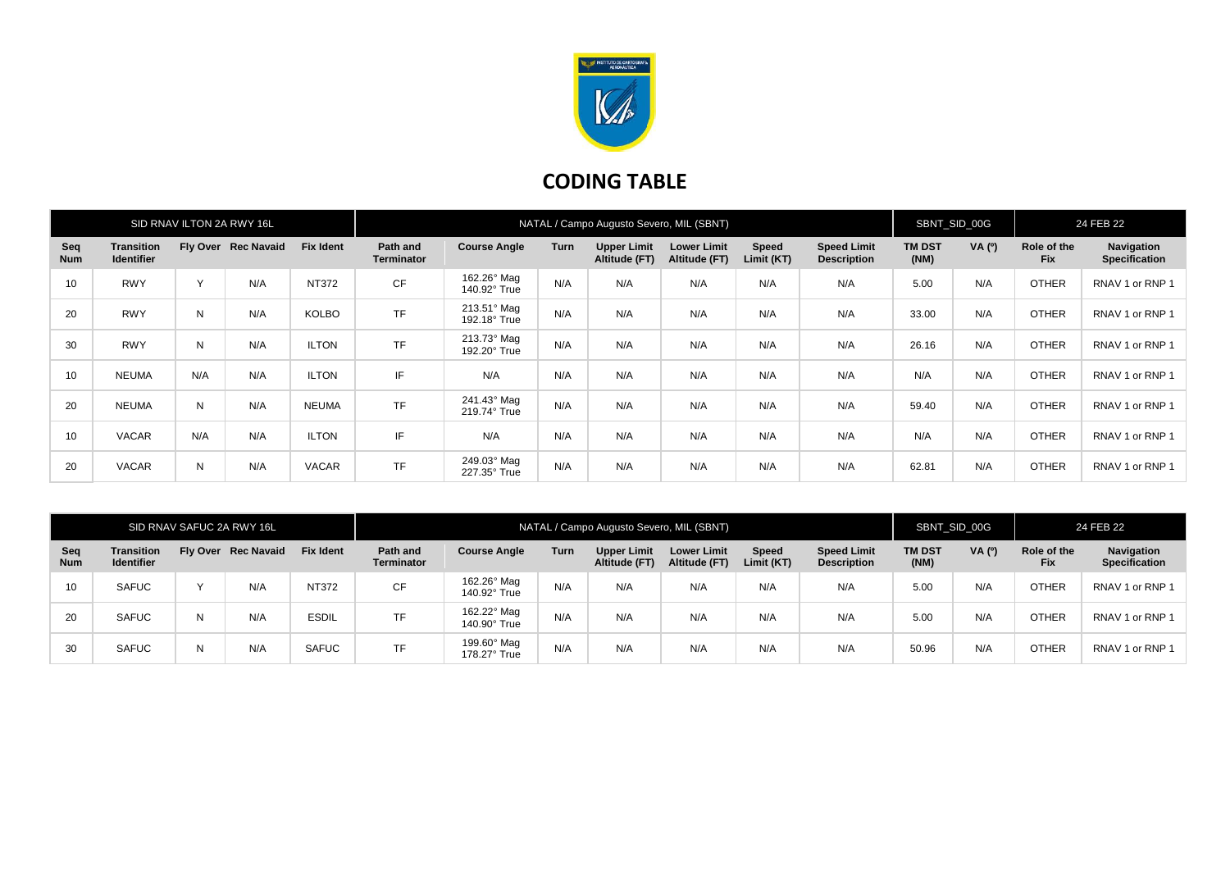

## **CODING TABLE**

| SID RNAV ILTON 2A RWY 16L |                                        |     |                     |                  | NATAL / Campo Augusto Severo, MIL (SBNT) |                             |      |                                     |                                     |                     |                                          | SBNT_SID_00G          |        | 24 FEB 22                 |                                    |
|---------------------------|----------------------------------------|-----|---------------------|------------------|------------------------------------------|-----------------------------|------|-------------------------------------|-------------------------------------|---------------------|------------------------------------------|-----------------------|--------|---------------------------|------------------------------------|
| Seq<br><b>Num</b>         | <b>Transition</b><br><b>Identifier</b> |     | Fly Over Rec Navaid | <b>Fix Ident</b> | Path and<br><b>Terminator</b>            | <b>Course Angle</b>         | Turn | <b>Upper Limit</b><br>Altitude (FT) | <b>Lower Limit</b><br>Altitude (FT) | Speed<br>Limit (KT) | <b>Speed Limit</b><br><b>Description</b> | <b>TM DST</b><br>(NM) | VA (0) | Role of the<br><b>Fix</b> | Navigation<br><b>Specification</b> |
| 10                        | <b>RWY</b>                             | Y   | N/A                 | <b>NT372</b>     | <b>CF</b>                                | 162.26° Mag<br>140.92° True | N/A  | N/A                                 | N/A                                 | N/A                 | N/A                                      | 5.00                  | N/A    | <b>OTHER</b>              | RNAV 1 or RNP 1                    |
| 20                        | <b>RWY</b>                             | N   | N/A                 | <b>KOLBO</b>     | <b>TF</b>                                | 213.51° Mag<br>192.18° True | N/A  | N/A                                 | N/A                                 | N/A                 | N/A                                      | 33.00                 | N/A    | <b>OTHER</b>              | RNAV 1 or RNP 1                    |
| 30                        | <b>RWY</b>                             | N   | N/A                 | <b>ILTON</b>     | <b>TF</b>                                | 213.73° Mag<br>192.20° True | N/A  | N/A                                 | N/A                                 | N/A                 | N/A                                      | 26.16                 | N/A    | <b>OTHER</b>              | RNAV 1 or RNP 1                    |
| 10                        | <b>NEUMA</b>                           | N/A | N/A                 | <b>ILTON</b>     | IF                                       | N/A                         | N/A  | N/A                                 | N/A                                 | N/A                 | N/A                                      | N/A                   | N/A    | <b>OTHER</b>              | RNAV 1 or RNP 1                    |
| 20                        | <b>NEUMA</b>                           | N   | N/A                 | <b>NEUMA</b>     | <b>TF</b>                                | 241.43° Mag<br>219.74° True | N/A  | N/A                                 | N/A                                 | N/A                 | N/A                                      | 59.40                 | N/A    | <b>OTHER</b>              | RNAV 1 or RNP 1                    |
| 10                        | <b>VACAR</b>                           | N/A | N/A                 | <b>ILTON</b>     | IF                                       | N/A                         | N/A  | N/A                                 | N/A                                 | N/A                 | N/A                                      | N/A                   | N/A    | <b>OTHER</b>              | RNAV 1 or RNP 1                    |
| 20                        | <b>VACAR</b>                           | N   | N/A                 | <b>VACAR</b>     | <b>TF</b>                                | 249.03° Mag<br>227.35° True | N/A  | N/A                                 | N/A                                 | N/A                 | N/A                                      | 62.81                 | N/A    | <b>OTHER</b>              | RNAV 1 or RNP 1                    |

| SID RNAV SAFUC 2A RWY 16L |                                        |   |                     |                  | NATAL / Campo Augusto Severo, MIL (SBNT) |                             |      |                              |                                     |                     |                                          | SBNT_SID_00G          |       | 24 FEB 22                 |                                    |
|---------------------------|----------------------------------------|---|---------------------|------------------|------------------------------------------|-----------------------------|------|------------------------------|-------------------------------------|---------------------|------------------------------------------|-----------------------|-------|---------------------------|------------------------------------|
| Seq<br><b>Num</b>         | <b>Transition</b><br><b>Identifier</b> |   | Fly Over Rec Navaid | <b>Fix Ident</b> | Path and<br><b>Terminator</b>            | <b>Course Angle</b>         | Turn | Upper Limit<br>Altitude (FT) | <b>Lower Limit</b><br>Altitude (FT) | Speed<br>Limit (KT) | <b>Speed Limit</b><br><b>Description</b> | <b>TM DST</b><br>(NM) | VA(0) | Role of the<br><b>Fix</b> | Navigation<br><b>Specification</b> |
| 10                        | <b>SAFUC</b>                           |   | N/A                 | <b>NT372</b>     | <b>CF</b>                                | 162.26° Mag<br>140.92° True | N/A  | N/A                          | N/A                                 | N/A                 | N/A                                      | 5.00                  | N/A   | <b>OTHER</b>              | RNAV 1 or RNP 1                    |
| 20                        | <b>SAFUC</b>                           | N | N/A                 | <b>ESDIL</b>     | <b>TF</b>                                | 162.22° Mag<br>140.90° True | N/A  | N/A                          | N/A                                 | N/A                 | N/A                                      | 5.00                  | N/A   | <b>OTHER</b>              | RNAV 1 or RNP 1                    |
| 30                        | <b>SAFUC</b>                           | N | N/A                 | <b>SAFUC</b>     | <b>TF</b>                                | 199.60° Mag<br>178.27° True | N/A  | N/A                          | N/A                                 | N/A                 | N/A                                      | 50.96                 | N/A   | <b>OTHER</b>              | RNAV 1 or RNP 1                    |